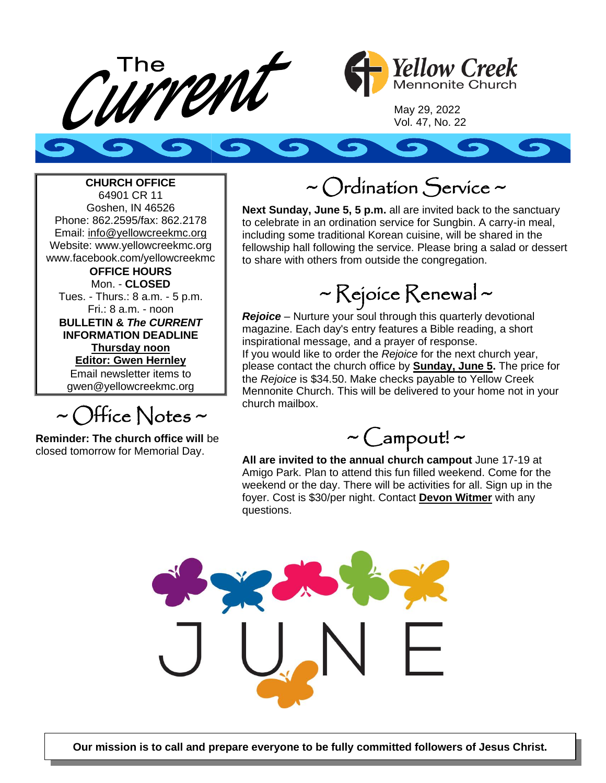



May 29, 2022 Vol. 47, No. 22

#### **CHURCH OFFICE**

64901 CR 11 Goshen, IN 46526 Phone: 862.2595/fax: 862.2178 Email: info@yellowcreekmc.org Website: www.yellowcreekmc.org www.facebook.com/yellowcreekmc **OFFICE HOURS** Mon. - **CLOSED** Tues. - Thurs.: 8 a.m. - 5 p.m. Fri.: 8 a.m. - noon **BULLETIN &** *The CURRENT* **INFORMATION DEADLINE Thursday noon Editor: Gwen Hernley** Email newsletter items to gwen@yellowcreekmc.org

 $\sim$  Office Notes  $\sim$ 

**Reminder: The church office will** be closed tomorrow for Memorial Day.

### ~ Ordination Service ~

**Next Sunday, June 5, 5 p.m.** all are invited back to the sanctuary to celebrate in an ordination service for Sungbin. A carry-in meal, including some traditional Korean cuisine, will be shared in the fellowship hall following the service. Please bring a salad or dessert to share with others from outside the congregation.

## ~ Rejoice Renewal ~

*Rejoice* – Nurture your soul through this quarterly devotional magazine. Each day's entry features a Bible reading, a short inspirational message, and a prayer of response.

If you would like to order the *Rejoice* for the next church year, please contact the church office by **Sunday, June 5.** The price for the *Rejoice* is \$34.50. Make checks payable to Yellow Creek Mennonite Church. This will be delivered to your home not in your church mailbox.



**All are invited to the annual church campout** June 17-19 at Amigo Park. Plan to attend this fun filled weekend. Come for the weekend or the day. There will be activities for all. Sign up in the foyer. Cost is \$30/per night. Contact **Devon Witmer** with any questions.